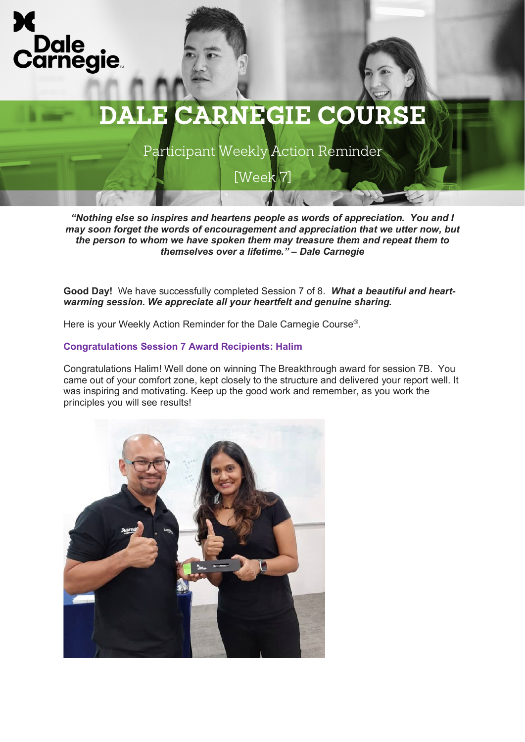



Participant Weekly Action Reminder

[Week 7]

*"Nothing else so inspires and heartens people as words of appreciation. You and I may soon forget the words of encouragement and appreciation that we utter now, but the person to whom we have spoken them may treasure them and repeat them to themselves over a lifetime." – Dale Carnegie*

**Good Day!** We have successfully completed Session 7 of 8. *What a beautiful and heartwarming session. We appreciate all your heartfelt and genuine sharing.* 

Here is your Weekly Action Reminder for the Dale Carnegie Course®.

### **Congratulations Session 7 Award Recipients: Halim**

Congratulations Halim! Well done on winning The Breakthrough award for session 7B. You came out of your comfort zone, kept closely to the structure and delivered your report well. It was inspiring and motivating. Keep up the good work and remember, as you work the principles you will see results!

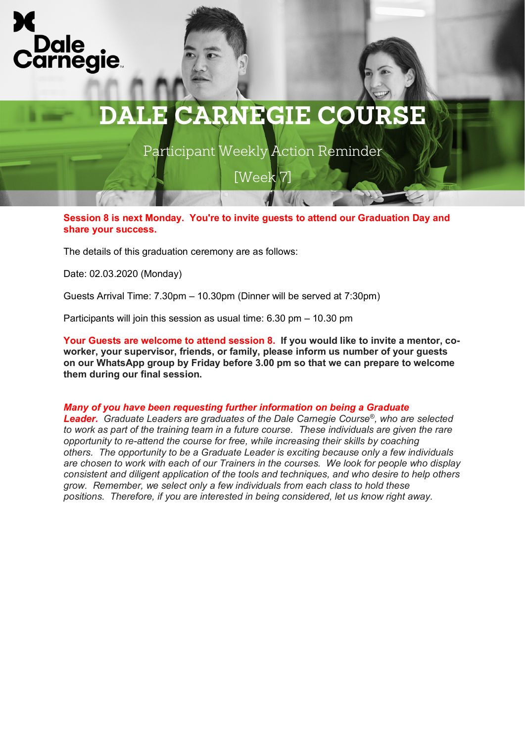



Participant Weekly Action Reminder

[Week 7]

**Session 8 is next Monday. You're to invite guests to attend our Graduation Day and share your success.**

The details of this graduation ceremony are as follows:

Date: 02.03.2020 (Monday)

Guests Arrival Time: 7.30pm – 10.30pm (Dinner will be served at 7:30pm)

Participants will join this session as usual time: 6.30 pm – 10.30 pm

**Your Guests are welcome to attend session 8. If you would like to invite a mentor, coworker, your supervisor, friends, or family, please inform us number of your guests on our WhatsApp group by Friday before 3.00 pm so that we can prepare to welcome them during our final session.** 

#### *Many of you have been requesting further information on being a Graduate*

*Leader. Graduate Leaders are graduates of the Dale Carnegie Course®, who are selected to work as part of the training team in a future course. These individuals are given the rare opportunity to re-attend the course for free, while increasing their skills by coaching others. The opportunity to be a Graduate Leader is exciting because only a few individuals are chosen to work with each of our Trainers in the courses. We look for people who display consistent and diligent application of the tools and techniques, and who desire to help others grow. Remember, we select only a few individuals from each class to hold these positions. Therefore, if you are interested in being considered, let us know right away.*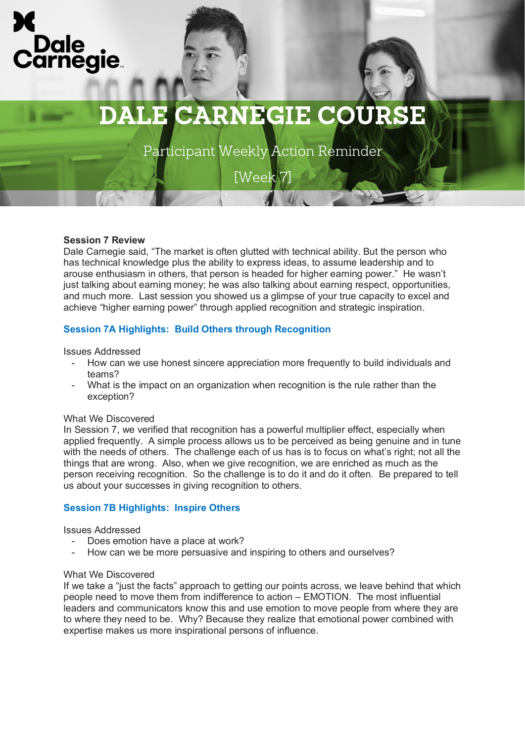

# **DALE CARNEGIE COURSE**

Participant Weekly Action Reminder

[Week 7]

# **Session 7 Review**

Dale Carnegie said, "The market is often glutted with technical ability. But the person who has technical knowledge plus the ability to express ideas, to assume leadership and to arouse enthusiasm in others, that person is headed for higher earning power." He wasn't just talking about earning money; he was also talking about earning respect, opportunities, and much more. Last session you showed us a glimpse of your true capacity to excel and achieve "higher earning power" through applied recognition and strategic inspiration.

# **Session 7A Highlights: Build Others through Recognition**

Issues Addressed

- How can we use honest sincere appreciation more frequently to build individuals and teams?
- What is the impact on an organization when recognition is the rule rather than the exception?

### What We Discovered

In Session 7, we verified that recognition has a powerful multiplier effect, especially when applied frequently. A simple process allows us to be perceived as being genuine and in tune with the needs of others. The challenge each of us has is to focus on what's right; not all the things that are wrong. Also, when we give recognition, we are enriched as much as the person receiving recognition. So the challenge is to do it and do it often. Be prepared to tell us about your successes in giving recognition to others.

# **Session 7B Highlights: Inspire Others**

Issues Addressed

- Does emotion have a place at work?
- How can we be more persuasive and inspiring to others and ourselves?

#### What We Discovered

If we take a "just the facts" approach to getting our points across, we leave behind that which people need to move them from indifference to action – EMOTION. The most influential leaders and communicators know this and use emotion to move people from where they are to where they need to be. Why? Because they realize that emotional power combined with expertise makes us more inspirational persons of influence.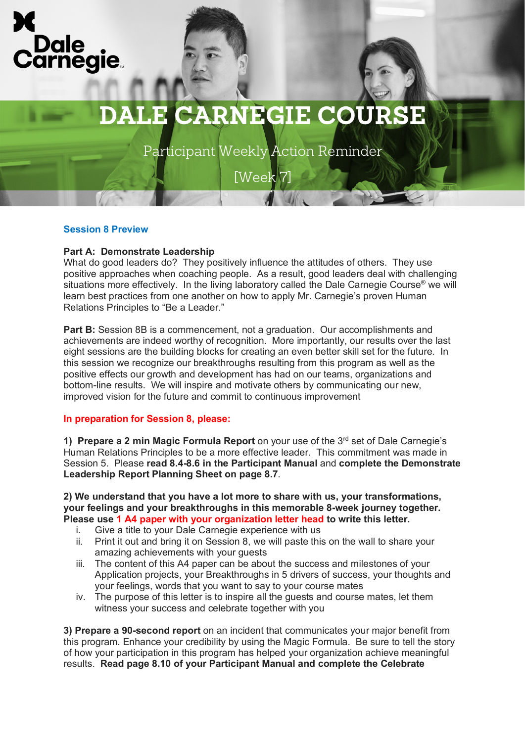

# **DALE CARNEGIE COURSE**

Participant Weekly Action Reminder

[Week 7]

# **Session 8 Preview**

# **Part A: Demonstrate Leadership**

What do good leaders do? They positively influence the attitudes of others. They use positive approaches when coaching people. As a result, good leaders deal with challenging situations more effectively. In the living laboratory called the Dale Carnegie Course<sup>®</sup> we will learn best practices from one another on how to apply Mr. Carnegie's proven Human Relations Principles to "Be a Leader."

**Part B:** Session 8B is a commencement, not a graduation. Our accomplishments and achievements are indeed worthy of recognition. More importantly, our results over the last eight sessions are the building blocks for creating an even better skill set for the future. In this session we recognize our breakthroughs resulting from this program as well as the positive effects our growth and development has had on our teams, organizations and bottom-line results. We will inspire and motivate others by communicating our new, improved vision for the future and commit to continuous improvement

### **In preparation for Session 8, please:**

**1) Prepare a 2 min Magic Formula Report** on your use of the 3rd set of Dale Carnegie's Human Relations Principles to be a more effective leader. This commitment was made in Session 5. Please **read 8.4-8.6 in the Participant Manual** and **complete the Demonstrate Leadership Report Planning Sheet on page 8.7**.

**2) We understand that you have a lot more to share with us, your transformations, your feelings and your breakthroughs in this memorable 8-week journey together. Please use 1 A4 paper with your organization letter head to write this letter.**

- i. Give a title to your Dale Carnegie experience with us
- ii. Print it out and bring it on Session 8, we will paste this on the wall to share your amazing achievements with your guests
- iii. The content of this A4 paper can be about the success and milestones of your Application projects, your Breakthroughs in 5 drivers of success, your thoughts and your feelings, words that you want to say to your course mates
- iv. The purpose of this letter is to inspire all the guests and course mates, let them witness your success and celebrate together with you

**3) Prepare a 90-second report** on an incident that communicates your major benefit from this program. Enhance your credibility by using the Magic Formula. Be sure to tell the story of how your participation in this program has helped your organization achieve meaningful results. **Read page 8.10 of your Participant Manual and complete the Celebrate**